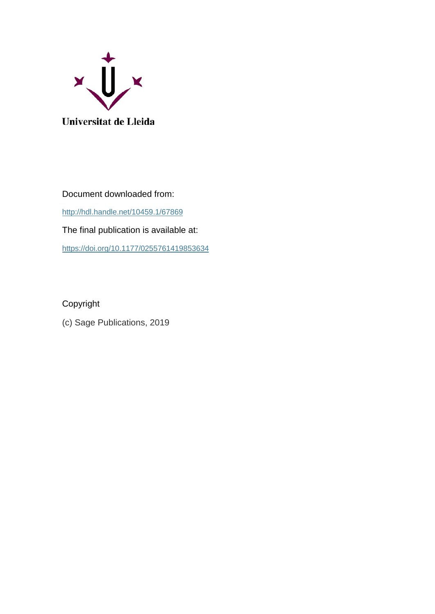

Document downloaded from:

<http://hdl.handle.net/10459.1/67869>

The final publication is available at:

<https://doi.org/10.1177/0255761419853634>

Copyright

(c) Sage Publications, 2019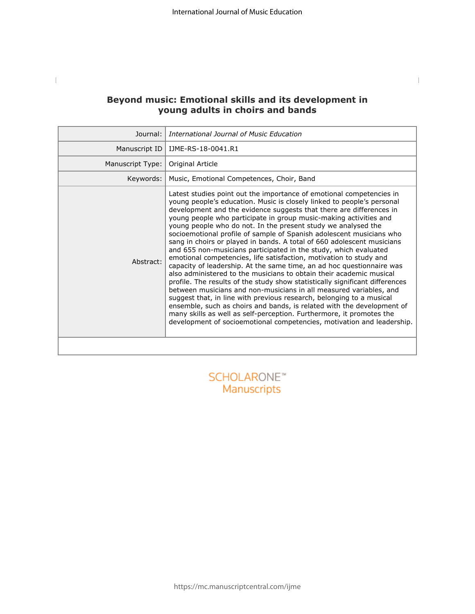## **Beyond music: Emotional skills and its development in young adults in choirs and bands**

 $\|$ 

| Journal:         | International Journal of Music Education                                                                                                                                                                                                                                                                                                                                                                                                                                                                                                                                                                                                                                                                                                                                                                                                                                                                                                                                                                                                                                                                                                                                                                                                                          |
|------------------|-------------------------------------------------------------------------------------------------------------------------------------------------------------------------------------------------------------------------------------------------------------------------------------------------------------------------------------------------------------------------------------------------------------------------------------------------------------------------------------------------------------------------------------------------------------------------------------------------------------------------------------------------------------------------------------------------------------------------------------------------------------------------------------------------------------------------------------------------------------------------------------------------------------------------------------------------------------------------------------------------------------------------------------------------------------------------------------------------------------------------------------------------------------------------------------------------------------------------------------------------------------------|
| Manuscript ID    | IJME-RS-18-0041.R1                                                                                                                                                                                                                                                                                                                                                                                                                                                                                                                                                                                                                                                                                                                                                                                                                                                                                                                                                                                                                                                                                                                                                                                                                                                |
| Manuscript Type: | Original Article                                                                                                                                                                                                                                                                                                                                                                                                                                                                                                                                                                                                                                                                                                                                                                                                                                                                                                                                                                                                                                                                                                                                                                                                                                                  |
| Keywords:        | Music, Emotional Competences, Choir, Band                                                                                                                                                                                                                                                                                                                                                                                                                                                                                                                                                                                                                                                                                                                                                                                                                                                                                                                                                                                                                                                                                                                                                                                                                         |
| Abstract:        | Latest studies point out the importance of emotional competencies in<br>young people's education. Music is closely linked to people's personal<br>development and the evidence suggests that there are differences in<br>young people who participate in group music-making activities and<br>young people who do not. In the present study we analysed the<br>socioemotional profile of sample of Spanish adolescent musicians who<br>sang in choirs or played in bands. A total of 660 adolescent musicians<br>and 655 non-musicians participated in the study, which evaluated<br>emotional competencies, life satisfaction, motivation to study and<br>capacity of leadership. At the same time, an ad hoc questionnaire was<br>also administered to the musicians to obtain their academic musical<br>profile. The results of the study show statistically significant differences<br>between musicians and non-musicians in all measured variables, and<br>suggest that, in line with previous research, belonging to a musical<br>ensemble, such as choirs and bands, is related with the development of<br>many skills as well as self-perception. Furthermore, it promotes the<br>development of socioemotional competencies, motivation and leadership. |
|                  |                                                                                                                                                                                                                                                                                                                                                                                                                                                                                                                                                                                                                                                                                                                                                                                                                                                                                                                                                                                                                                                                                                                                                                                                                                                                   |
|                  | SCHOLARONE <sup>*</sup><br><b>Manuscripts</b>                                                                                                                                                                                                                                                                                                                                                                                                                                                                                                                                                                                                                                                                                                                                                                                                                                                                                                                                                                                                                                                                                                                                                                                                                     |

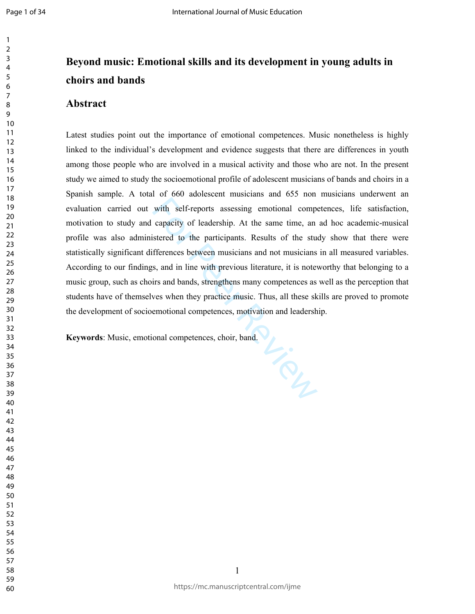# **Beyond music: Emotional skills and its development in young adults in choirs and bands**

## **Abstract**

Latest studies point out the importance of emotional competences. Music nonetheless is highly linked to the individual's development and evidence suggests that there are differences in youth among those people who are involved in a musical activity and those who are not. In the present study we aimed to study the socioemotional profile of adolescent musicians of bands and choirs in a Spanish sample. A total of 660 adolescent musicians and 655 non musicians underwent an evaluation carried out with self-reports assessing emotional competences, life satisfaction, motivation to study and capacity of leadership. At the same time, an ad hoc academic-musical profile was also administered to the participants. Results of the study show that there were statistically significant differences between musicians and not musicians in all measured variables. According to our findings, and in line with previous literature, it is noteworthy that belonging to a music group, such as choirs and bands, strengthens many competences as well as the perception that students have of themselves when they practice music. Thus, all these skills are proved to promote the development of socioemotional competences, motivation and leadership.

IL-SOL **Keywords**: Music, emotional competences, choir, band.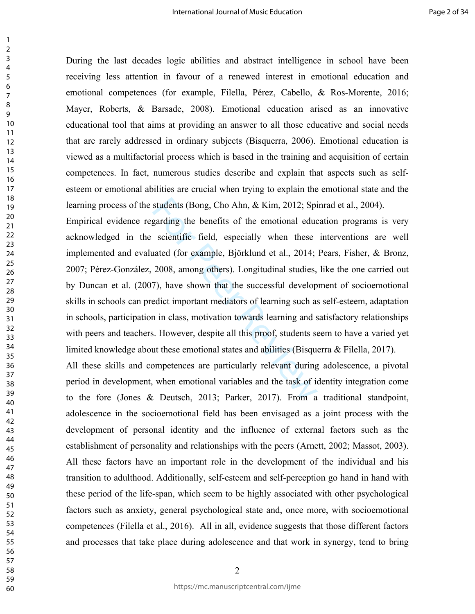During the last decades logic abilities and abstract intelligence in school have been receiving less attention in favour of a renewed interest in emotional education and emotional competences (for example, Filella, Pérez, Cabello, & Ros-Morente, 2016; Mayer, Roberts, & Barsade, 2008). Emotional education arised as an innovative educational tool that aims at providing an answer to all those educative and social needs that are rarely addressed in ordinary subjects (Bisquerra, 2006). Emotional education is viewed as a multifactorial process which is based in the training and acquisition of certain competences. In fact, numerous studies describe and explain that aspects such as selfesteem or emotional abilities are crucial when trying to explain the emotional state and the learning process of the students (Bong, Cho Ahn, & Kim, 2012; Spinrad et al., 2004).

students (Bong, Cho Ahn, & Kim, 2012; Spi<br>garding the benefits of the emotional educ<br>scientific field, especially when these<br>aated (for example, Björklund et al., 2014;<br>2008, among others). Longitudinal studies,<br>7), have s Empirical evidence regarding the benefits of the emotional education programs is very acknowledged in the scientific field, especially when these interventions are well implemented and evaluated (for example, Björklund et al., 2014; Pears, Fisher, & Bronz, 2007; Pérez-González, 2008, among others). Longitudinal studies, like the one carried out by Duncan et al. (2007), have shown that the successful development of socioemotional skills in schools can predict important mediators of learning such as self-esteem, adaptation in schools, participation in class, motivation towards learning and satisfactory relationships with peers and teachers. However, despite all this proof, students seem to have a varied yet limited knowledge about these emotional states and abilities (Bisquerra & Filella, 2017).

All these skills and competences are particularly relevant during adolescence, a pivotal period in development, when emotional variables and the task of identity integration come to the fore (Jones & Deutsch, 2013; Parker, 2017). From a traditional standpoint, adolescence in the socioemotional field has been envisaged as a joint process with the development of personal identity and the influence of external factors such as the establishment of personality and relationships with the peers (Arnett, 2002; Massot, 2003). All these factors have an important role in the development of the individual and his transition to adulthood. Additionally, self-esteem and self-perception go hand in hand with these period of the life-span, which seem to be highly associated with other psychological factors such as anxiety, general psychological state and, once more, with socioemotional competences (Filella et al., 2016). All in all, evidence suggests that those different factors and processes that take place during adolescence and that work in synergy, tend to bring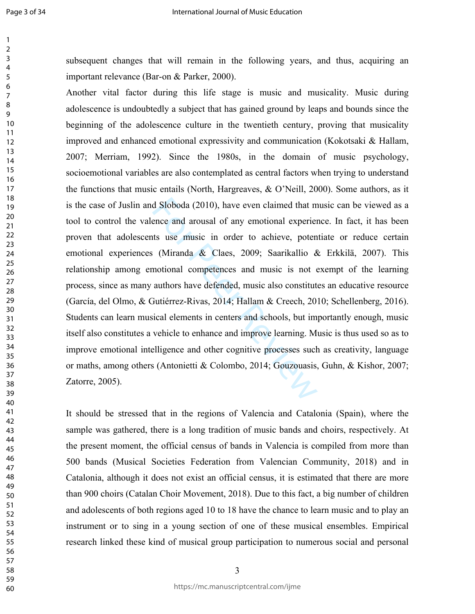subsequent changes that will remain in the following years, and thus, acquiring an important relevance (Bar-on & Parker, 2000).

d Sloboda (2010), have even claimed that m<br>ence and arousal of any emotional experients<br>ts use music in order to achieve, poten<br>(Miranda & Claes, 2009; Saarikallio &<br>motional competences and music is not  $\epsilon$ <br>authors have Another vital factor during this life stage is music and musicality. Music during adolescence is undoubtedly a subject that has gained ground by leaps and bounds since the beginning of the adolescence culture in the twentieth century, proving that musicality improved and enhanced emotional expressivity and communication (Kokotsaki & Hallam, 2007; Merriam, 1992). Since the 1980s, in the domain of music psychology, socioemotional variables are also contemplated as central factors when trying to understand the functions that music entails (North, Hargreaves, & O'Neill, 2000). Some authors, as it is the case of Juslin and Sloboda (2010), have even claimed that music can be viewed as a tool to control the valence and arousal of any emotional experience. In fact, it has been proven that adolescents use music in order to achieve, potentiate or reduce certain emotional experiences (Miranda & Claes, 2009; Saarikallio & Erkkilä, 2007). This relationship among emotional competences and music is not exempt of the learning process, since as many authors have defended, music also constitutes an educative resource (García, del Olmo, & Gutiérrez-Rivas, 2014; Hallam & Creech, 2010; Schellenberg, 2016). Students can learn musical elements in centers and schools, but importantly enough, music itself also constitutes a vehicle to enhance and improve learning. Music is thus used so as to improve emotional intelligence and other cognitive processes such as creativity, language or maths, among others (Antonietti & Colombo, 2014; Gouzouasis, Guhn, & Kishor, 2007; Zatorre, 2005).

It should be stressed that in the regions of Valencia and Catalonia (Spain), where the sample was gathered, there is a long tradition of music bands and choirs, respectively. At the present moment, the official census of bands in Valencia is compiled from more than 500 bands (Musical Societies Federation from Valencian Community, 2018) and in Catalonia, although it does not exist an official census, it is estimated that there are more than 900 choirs (Catalan Choir Movement, 2018). Due to this fact, a big number of children and adolescents of both regions aged 10 to 18 have the chance to learn music and to play an instrument or to sing in a young section of one of these musical ensembles. Empirical research linked these kind of musical group participation to numerous social and personal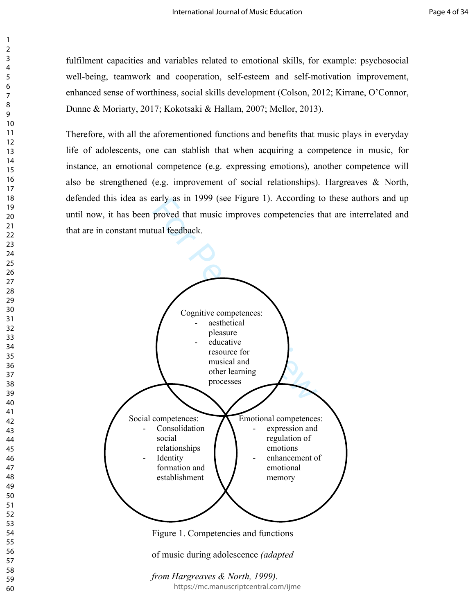fulfilment capacities and variables related to emotional skills, for example: psychosocial well-being, teamwork and cooperation, self-esteem and self-motivation improvement, enhanced sense of worthiness, social skills development (Colson, 2012; Kirrane, O'Connor, Dunne & Moriarty, 2017; Kokotsaki & Hallam, 2007; Mellor, 2013).

Therefore, with all the aforementioned functions and benefits that music plays in everyday life of adolescents, one can stablish that when acquiring a competence in music, for instance, an emotional competence (e.g. expressing emotions), another competence will also be strengthened (e.g. improvement of social relationships). Hargreaves & North, defended this idea as early as in 1999 (see Figure 1). According to these authors and up until now, it has been proved that music improves competencies that are interrelated and that are in constant mutual feedback.

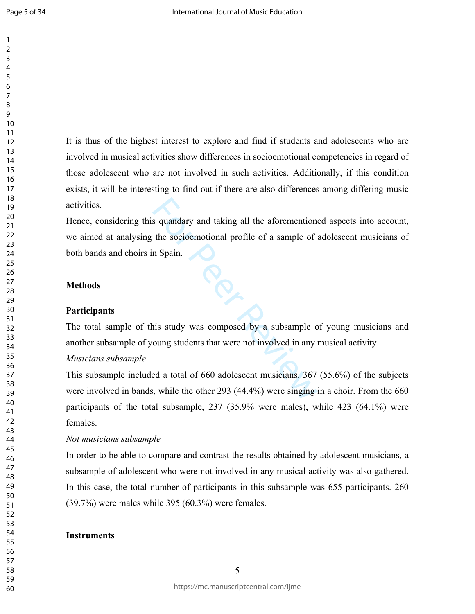It is thus of the highest interest to explore and find if students and adolescents who are involved in musical activities show differences in socioemotional competencies in regard of those adolescent who are not involved in such activities. Additionally, if this condition exists, it will be interesting to find out if there are also differences among differing music activities.

Solution and taking all the aforemention<br>the socioemotional profile of a sample of<br>n Spain.<br>Spain.<br>Spain.<br>The Spain extends that were not involved in any produce oung students that were not involved in any produced at a to Hence, considering this quandary and taking all the aforementioned aspects into account, we aimed at analysing the socioemotional profile of a sample of adolescent musicians of both bands and choirs in Spain.

## **Methods**

#### **Participants**

The total sample of this study was composed by a subsample of young musicians and another subsample of young students that were not involved in any musical activity.

## *Musicians subsample*

This subsample included a total of 660 adolescent musicians. 367 (55.6%) of the subjects were involved in bands, while the other 293 (44.4%) were singing in a choir. From the 660 participants of the total subsample, 237 (35.9% were males), while 423 (64.1%) were females.

## *Not musicians subsample*

In order to be able to compare and contrast the results obtained by adolescent musicians, a subsample of adolescent who were not involved in any musical activity was also gathered. In this case, the total number of participants in this subsample was 655 participants. 260 (39.7%) were males while 395 (60.3%) were females.

### **Instruments**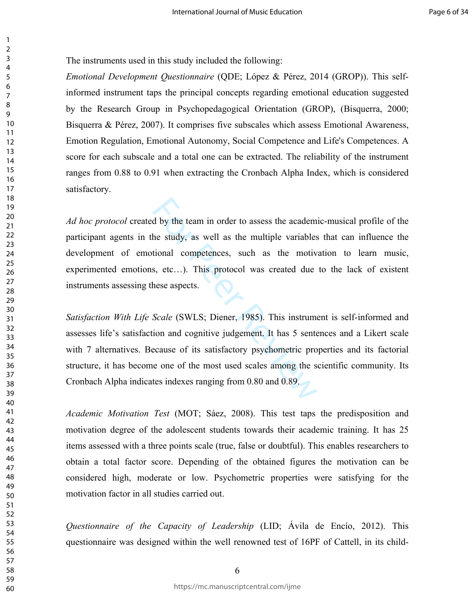The instruments used in this study included the following:

*Emotional Development Questionnaire* (QDE; López & Pérez, 2014 (GROP)). This selfinformed instrument taps the principal concepts regarding emotional education suggested by the Research Group in Psychopedagogical Orientation (GROP), (Bisquerra, 2000; Bisquerra & Pérez, 2007). It comprises five subscales which assess Emotional Awareness, Emotion Regulation, Emotional Autonomy, Social Competence and Life's Competences. A score for each subscale and a total one can be extracted. The reliability of the instrument ranges from 0.88 to 0.91 when extracting the Cronbach Alpha Index, which is considered satisfactory.

*Ad hoc protocol* created by the team in order to assess the academic-musical profile of the participant agents in the study, as well as the multiple variables that can influence the development of emotional competences, such as the motivation to learn music, experimented emotions, etc…). This protocol was created due to the lack of existent instruments assessing these aspects.

d by the team in order to assess the academ<br>he study, as well as the multiple variables<br>tional competences, such as the motiv<br>s, etc...). This protocol was created due<br>hese aspects.<br>Scale (SWLS; Diener, 1985). This instrum *Satisfaction With Life Scale* (SWLS; Diener, 1985). This instrument is self-informed and assesses life's satisfaction and cognitive judgement. It has 5 sentences and a Likert scale with 7 alternatives. Because of its satisfactory psychometric properties and its factorial structure, it has become one of the most used scales among the scientific community. Its Cronbach Alpha indicates indexes ranging from 0.80 and 0.89.

*Academic Motivation Test* (MOT; Sáez, 2008). This test taps the predisposition and motivation degree of the adolescent students towards their academic training. It has 25 items assessed with a three points scale (true, false or doubtful). This enables researchers to obtain a total factor score. Depending of the obtained figures the motivation can be considered high, moderate or low. Psychometric properties were satisfying for the motivation factor in all studies carried out.

*Questionnaire of the Capacity of Leadership* (LID; Ávila de Encío, 2012). This questionnaire was designed within the well renowned test of 16PF of Cattell, in its child-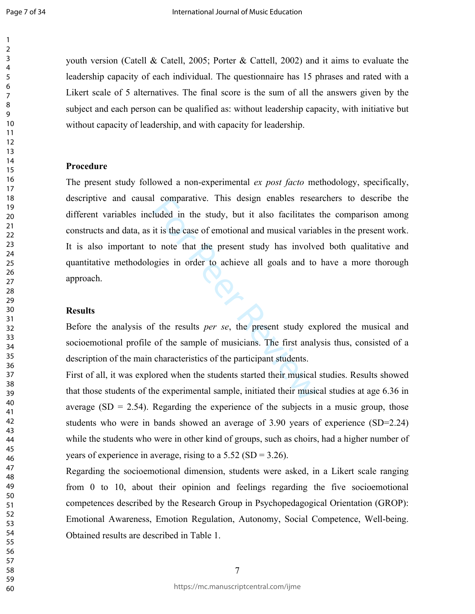youth version (Catell & Catell, 2005; Porter & Cattell, 2002) and it aims to evaluate the leadership capacity of each individual. The questionnaire has 15 phrases and rated with a Likert scale of 5 alternatives. The final score is the sum of all the answers given by the subject and each person can be qualified as: without leadership capacity, with initiative but without capacity of leadership, and with capacity for leadership.

## **Procedure**

I comparative. This design enables resear<br>luded in the study, but it also facilitates<br>it is the case of emotional and musical varial<br>o note that the present study has involve<br>ogies in order to achieve all goals and to<br>to a The present study followed a non-experimental *ex post facto* methodology, specifically, descriptive and causal comparative. This design enables researchers to describe the different variables included in the study, but it also facilitates the comparison among constructs and data, as it is the case of emotional and musical variables in the present work. It is also important to note that the present study has involved both qualitative and quantitative methodologies in order to achieve all goals and to have a more thorough approach.

#### **Results**

Before the analysis of the results *per se*, the present study explored the musical and socioemotional profile of the sample of musicians. The first analysis thus, consisted of a description of the main characteristics of the participant students.

First of all, it was explored when the students started their musical studies. Results showed that those students of the experimental sample, initiated their musical studies at age 6.36 in average  $(SD = 2.54)$ . Regarding the experience of the subjects in a music group, those students who were in bands showed an average of 3.90 years of experience (SD=2.24) while the students who were in other kind of groups, such as choirs, had a higher number of years of experience in average, rising to a  $5.52$  (SD =  $3.26$ ).

Regarding the socioemotional dimension, students were asked, in a Likert scale ranging from 0 to 10, about their opinion and feelings regarding the five socioemotional competences described by the Research Group in Psychopedagogical Orientation (GROP): Emotional Awareness, Emotion Regulation, Autonomy, Social Competence, Well-being. Obtained results are described in Table 1.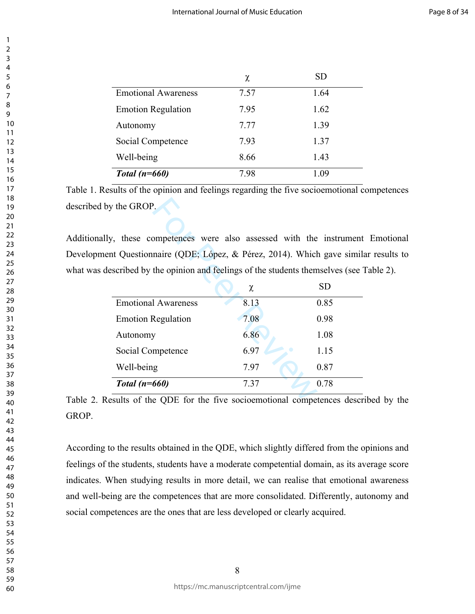| 2                                         |  |
|-------------------------------------------|--|
| ś                                         |  |
| 1                                         |  |
|                                           |  |
|                                           |  |
| f                                         |  |
|                                           |  |
| 8                                         |  |
|                                           |  |
| 9                                         |  |
| $\overline{10}$                           |  |
| 1<br>ı                                    |  |
|                                           |  |
| 1<br>$\overline{c}$                       |  |
| 1<br>3                                    |  |
| 1<br>4                                    |  |
| 1<br>!                                    |  |
|                                           |  |
| 16                                        |  |
| 1                                         |  |
| 18                                        |  |
| 19                                        |  |
|                                           |  |
| 20                                        |  |
| $\overline{2}$<br>l                       |  |
| $\overline{2}$<br>$\overline{2}$          |  |
| $^{23}$                                   |  |
|                                           |  |
| $\frac{24}{3}$                            |  |
| $\overline{2!}$                           |  |
| 26                                        |  |
| $^{27}$                                   |  |
|                                           |  |
| $\overline{28}$                           |  |
| 29                                        |  |
| 30                                        |  |
| $\mathbf{S}$                              |  |
| ı                                         |  |
| $\overline{\mathbf{3}}$<br>$\overline{2}$ |  |
| $\overline{\textbf{3}}$                   |  |
|                                           |  |
| 34<br>35                                  |  |
|                                           |  |
| $\epsilon$                                |  |
| 37                                        |  |
| 38                                        |  |
|                                           |  |
| 39                                        |  |
| 40                                        |  |
| $\ddot{4}$<br>1                           |  |
| 4<br>2                                    |  |
| 4<br>ξ                                    |  |
|                                           |  |
| 44                                        |  |
| 45                                        |  |
| 46                                        |  |
|                                           |  |
| 4                                         |  |
| 48                                        |  |
| 49                                        |  |
| 50                                        |  |
|                                           |  |
| 5<br>l                                    |  |
| c<br>5<br>2                               |  |
| c<br>$\overline{\mathbf{5}}$<br>3         |  |
| c<br>$\frac{1}{2}$                        |  |
|                                           |  |
| c<br>$\frac{1}{2}$                        |  |
| c<br>56                                   |  |
| c<br>7<br>$\overline{\mathbf{5}}$         |  |
|                                           |  |
| 58                                        |  |
| 59<br>ľ                                   |  |

|                            | χ    | SD   |
|----------------------------|------|------|
| <b>Emotional Awareness</b> | 7.57 | 1.64 |
| <b>Emotion Regulation</b>  | 7.95 | 1.62 |
| Autonomy                   | 7.77 | 1.39 |
| Social Competence          | 7.93 | 1.37 |
| Well-being                 | 8.66 | 1.43 |
| Total $(n=660)$            | 7.98 | 1.09 |

Table 1. Results of the opinion and feelings regarding the five socioemotional competences described by the GROP.

Additionally, these competences were also assessed with the instrument Emotional Development Questionnaire (QDE; López, & Pérez, 2014). Which gave similar results to what was described by the opinion and feelings of the students themselves (see Table 2).

| $\gamma$ the GROP.                                                    |      |           |
|-----------------------------------------------------------------------|------|-----------|
|                                                                       |      |           |
| , these competences were also assessed with the instrumer             |      |           |
| nt Questionnaire (QDE; López, & Pérez, 2014). Which gave simi         |      |           |
| escribed by the opinion and feelings of the students themselves (see  |      |           |
|                                                                       | χ    | <b>SD</b> |
| <b>Emotional Awareness</b>                                            | 8.13 | 0.85      |
| <b>Emotion Regulation</b>                                             | 7.08 | 0.98      |
| Autonomy                                                              | 6.86 | 1.08      |
| Social Competence                                                     | 6.97 | 1.15      |
| Well-being                                                            | 7.97 | 0.87      |
| Total $(n=660)$                                                       | 7.37 | 0.78      |
| esults of the ODE for the five socioemotional competences description |      |           |

Table 2. Results of the QDE for the five socioemotional competences described by the GROP.

According to the results obtained in the QDE, which slightly differed from the opinions and feelings of the students, students have a moderate competential domain, as its average score indicates. When studying results in more detail, we can realise that emotional awareness and well-being are the competences that are more consolidated. Differently, autonomy and social competences are the ones that are less developed or clearly acquired.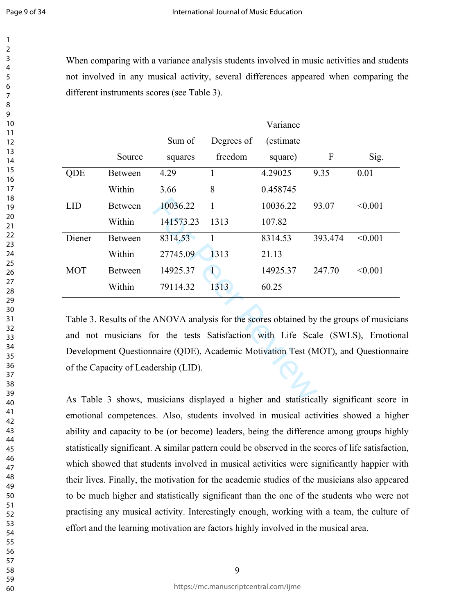When comparing with a variance analysis students involved in music activities and students not involved in any musical activity, several differences appeared when comparing the different instruments scores (see Table 3).

|            |                |                                                                                         |              | Variance   |         |         |
|------------|----------------|-----------------------------------------------------------------------------------------|--------------|------------|---------|---------|
|            |                | Sum of                                                                                  | Degrees of   | (estimate) |         |         |
|            | Source         | squares                                                                                 | freedom      | square)    | F       | Sig.    |
| QDE        | Between        | 4.29                                                                                    | $\mathbf{1}$ | 4.29025    | 9.35    | 0.01    |
|            | Within         | 3.66                                                                                    | 8            | 0.458745   |         |         |
| <b>LID</b> | <b>Between</b> | 10036.22                                                                                | $\mathbf{1}$ | 10036.22   | 93.07   | < 0.001 |
|            | Within         | 141573.23                                                                               | 1313         | 107.82     |         |         |
| Diener     | <b>Between</b> | 8314.53                                                                                 | $\mathbf{1}$ | 8314.53    | 393.474 | < 0.001 |
|            | Within         | 27745.09                                                                                | 1313         | 21.13      |         |         |
| <b>MOT</b> | <b>Between</b> | 14925.37                                                                                | $\mathbf{1}$ | 14925.37   | 247.70  | < 0.001 |
|            | Within         | 79114.32                                                                                | 1313         | 60.25      |         |         |
|            |                |                                                                                         |              |            |         |         |
|            |                | Table 3. Results of the ANOVA analysis for the scores obtained by the groups of musicia |              |            |         |         |
|            |                | and not musicians for the tests Satisfaction with Life Scale (SWLS), Emotion            |              |            |         |         |
|            |                | Development Questionnaire (QDE), Academic Motivation Test (MOT), and Questionnai        |              |            |         |         |
|            |                | of the Capacity of Leadership (LID).                                                    |              |            |         |         |
|            |                |                                                                                         |              |            |         |         |
|            |                | As Table 3 shows, musicians displayed a higher and statistically significant score      |              |            |         |         |

As Table 3 shows, musicians displayed a higher and statistically significant score in emotional competences. Also, students involved in musical activities showed a higher ability and capacity to be (or become) leaders, being the difference among groups highly statistically significant. A similar pattern could be observed in the scores of life satisfaction, which showed that students involved in musical activities were significantly happier with their lives. Finally, the motivation for the academic studies of the musicians also appeared to be much higher and statistically significant than the one of the students who were not practising any musical activity. Interestingly enough, working with a team, the culture of effort and the learning motivation are factors highly involved in the musical area.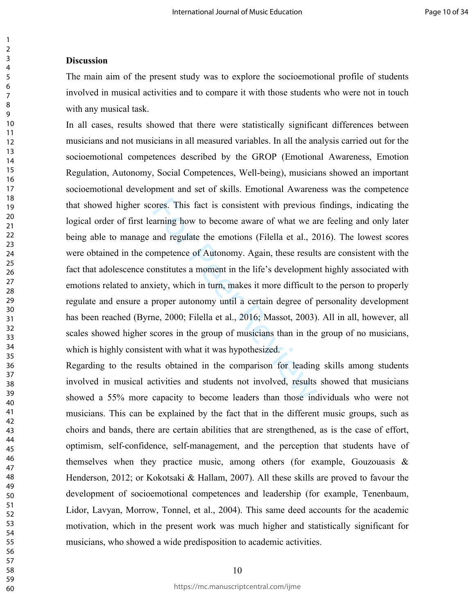#### **Discussion**

The main aim of the present study was to explore the socioemotional profile of students involved in musical activities and to compare it with those students who were not in touch with any musical task.

ores. This fact is consistent with previous<br>arming how to become aware of what we an<br>and regulate the emotions (Filella et al., 20<br>ompetence of Autonomy. Again, these result<br>onstitutes a moment in the life's developmer<br>iet In all cases, results showed that there were statistically significant differences between musicians and not musicians in all measured variables. In all the analysis carried out for the socioemotional competences described by the GROP (Emotional Awareness, Emotion Regulation, Autonomy, Social Competences, Well-being), musicians showed an important socioemotional development and set of skills. Emotional Awareness was the competence that showed higher scores. This fact is consistent with previous findings, indicating the logical order of first learning how to become aware of what we are feeling and only later being able to manage and regulate the emotions (Filella et al., 2016). The lowest scores were obtained in the competence of Autonomy. Again, these results are consistent with the fact that adolescence constitutes a moment in the life's development highly associated with emotions related to anxiety, which in turn, makes it more difficult to the person to properly regulate and ensure a proper autonomy until a certain degree of personality development has been reached (Byrne, 2000; Filella et al., 2016; Massot, 2003). All in all, however, all scales showed higher scores in the group of musicians than in the group of no musicians, which is highly consistent with what it was hypothesized.

Regarding to the results obtained in the comparison for leading skills among students involved in musical activities and students not involved, results showed that musicians showed a 55% more capacity to become leaders than those individuals who were not musicians. This can be explained by the fact that in the different music groups, such as choirs and bands, there are certain abilities that are strengthened, as is the case of effort, optimism, self-confidence, self-management, and the perception that students have of themselves when they practice music, among others (for example, Gouzouasis  $\&$ Henderson, 2012; or Kokotsaki & Hallam, 2007). All these skills are proved to favour the development of socioemotional competences and leadership (for example, Tenenbaum, Lidor, Lavyan, Morrow, Tonnel, et al., 2004). This same deed accounts for the academic motivation, which in the present work was much higher and statistically significant for musicians, who showed a wide predisposition to academic activities.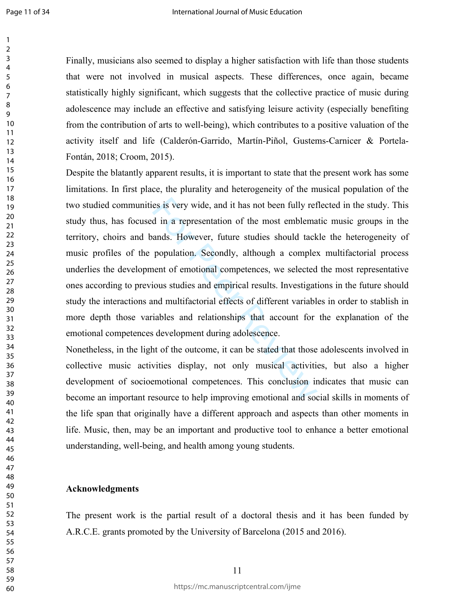Page 11 of 34

Finally, musicians also seemed to display a higher satisfaction with life than those students that were not involved in musical aspects. These differences, once again, became statistically highly significant, which suggests that the collective practice of music during adolescence may include an effective and satisfying leisure activity (especially benefiting from the contribution of arts to well-being), which contributes to a positive valuation of the activity itself and life (Calderón-Garrido, Martín-Piñol, Gustems-Carnicer & Portela-Fontán, 2018; Croom, 2015).

es is very wide, and it has not been fully ref<br>d in a representation of the most emblema<br>ands. However, future studies should tack<br>population. Secondly, although a compley<br>nent of emotional competences, we selected<br>ious st Despite the blatantly apparent results, it is important to state that the present work has some limitations. In first place, the plurality and heterogeneity of the musical population of the two studied communities is very wide, and it has not been fully reflected in the study. This study thus, has focused in a representation of the most emblematic music groups in the territory, choirs and bands. However, future studies should tackle the heterogeneity of music profiles of the population. Secondly, although a complex multifactorial process underlies the development of emotional competences, we selected the most representative ones according to previous studies and empirical results. Investigations in the future should study the interactions and multifactorial effects of different variables in order to stablish in more depth those variables and relationships that account for the explanation of the emotional competences development during adolescence.

Nonetheless, in the light of the outcome, it can be stated that those adolescents involved in collective music activities display, not only musical activities, but also a higher development of socioemotional competences. This conclusion indicates that music can become an important resource to help improving emotional and social skills in moments of the life span that originally have a different approach and aspects than other moments in life. Music, then, may be an important and productive tool to enhance a better emotional understanding, well-being, and health among young students.

#### **Acknowledgments**

The present work is the partial result of a doctoral thesis and it has been funded by A.R.C.E. grants promoted by the University of Barcelona (2015 and 2016).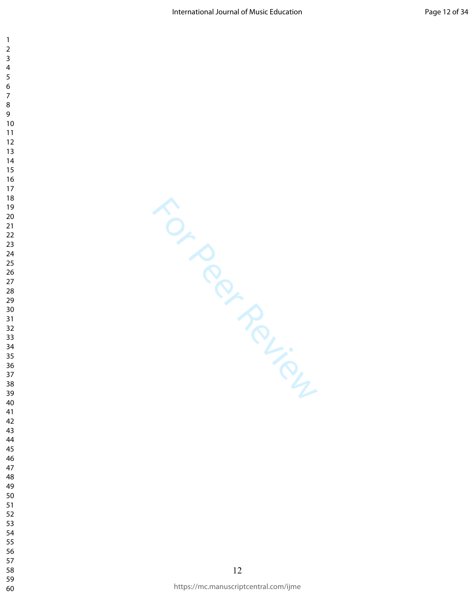For Permien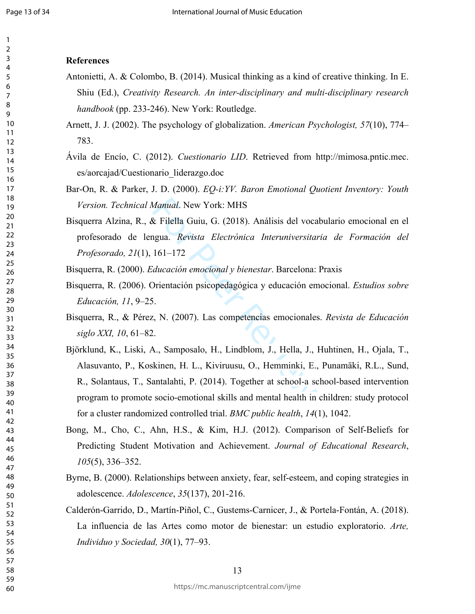#### **References**

- Antonietti, A. & Colombo, B. (2014). Musical thinking as a kind of creative thinking. In E. Shiu (Ed.), *Creativity Research. An inter-disciplinary and multi-disciplinary research handbook* (pp. 233-246). New York: Routledge.
- Arnett, J. J. (2002). The psychology of globalization. *American Psychologist, 57*(10), 774– 783.
- Ávila de Encío, C. (2012). *Cuestionario LID*. Retrieved from http://mimosa.pntic.mec. es/aorcajad/Cuestionario\_liderazgo.doc
- Bar-On, R. & Parker, J. D. (2000). *EQ-i:YV. Baron Emotional Quotient Inventory: Youth Version. Technical Manual*. New York: MHS
- Bisquerra Alzina, R., & Filella Guiu, G. (2018). Análisis del vocabulario emocional en el profesorado de lengua. *Revista Electrónica Interuniversitaria de Formación del Profesorado, 21*(1), 161–172

Bisquerra, R. (2000). *Educación emocional y bienestar*. Barcelona: Praxis

- Bisquerra, R. (2006). Orientación psicopedagógica y educación emocional. *Estudios sobre Educación, 11*, 9–25.
- Bisquerra, R., & Pérez, N. (2007). Las competencias emocionales. *Revista de Educación siglo XXI, 10*, 61–82.
- Manual. New York: MHS<br>
& Filella Guiu, G. (2018). Análisis del voca<br>
ngua. Revista Electrónica Interuniversita<br>
161–172<br>
ducación emocional y bienestar. Barcelona:<br>
Drientación psicopedagógica y educación em<br>
i.<br>
, N. (200 Björklund, K., Liski, A., Samposalo, H., Lindblom, J., Hella, J., Huhtinen, H., Ojala, T., Alasuvanto, P., Koskinen, H. L., Kiviruusu, O., Hemminki, E., Punamäki, R.L., Sund, R., Solantaus, T., Santalahti, P. (2014). Together at school-a school-based intervention program to promote socio-emotional skills and mental health in children: study protocol for a cluster randomized controlled trial. *BMC public health*, *14*(1), 1042.
- Bong, M., Cho, C., Ahn, H.S., & Kim, H.J. (2012). Comparison of Self-Beliefs for Predicting Student Motivation and Achievement. *Journal of Educational Research*, (5), 336–352.
- Byrne, B. (2000). Relationships between anxiety, fear, self-esteem, and coping strategies in adolescence. *Adolescence*, *35*(137), 201-216.
- Calderón-Garrido, D., Martín-Piñol, C., Gustems-Carnicer, J., & Portela-Fontán, A. (2018). La influencia de las Artes como motor de bienestar: un estudio exploratorio. *Arte, Individuo y Sociedad, 30*(1), 77–93.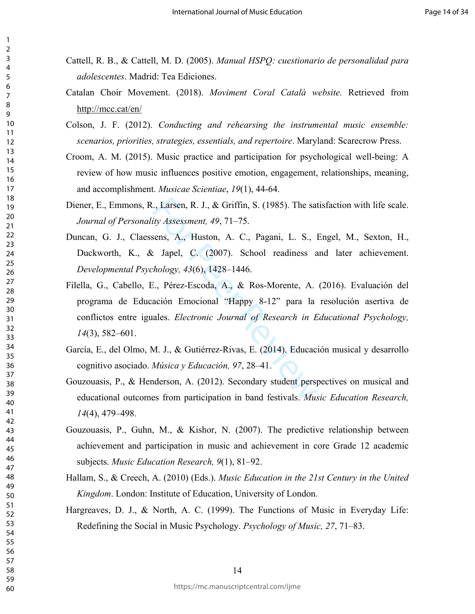- Cattell, R. B., & Cattell, M. D. (2005). *Manual HSPQ: cuestionario de personalidad para adolescentes*. Madrid: Tea Ediciones.
- Catalan Choir Movement. (2018). *Moviment Coral Català website.* Retrieved from http://mcc.cat/en/
- Colson, J. F. (2012). *Conducting and rehearsing the instrumental music ensemble: scenarios, priorities, strategies, essentials, and repertoire*. Maryland: Scarecrow Press.
- Croom, A. M. (2015). Music practice and participation for psychological well-being: A review of how music influences positive emotion, engagement, relationships, meaning, and accomplishment. *Musicae Scientiae*, *19*(1), 44-64.
- Diener, E., Emmons, R., Larsen, R. J., & Griffin, S. (1985). The satisfaction with life scale. *Journal of Personality Assessment, 49*, 71–75.
- Duncan, G. J., Claessens, A., Huston, A. C., Pagani, L. S., Engel, M., Sexton, H., Duckworth, K., & Japel, C. (2007). School readiness and later achievement. *Developmental Psychology, 43*(6), 1428–1446.
- .., Larsen, R. J., & Griffin, S. (1985). The sat<br>tity Assessment, 49, 71–75.<br>sens, A., Huston, A. C., Pagani, L. S., 1<br>t Japel, C. (2007). School readiness a<br>thology, 43(6), 1428–1446.<br>E., Pérez-Escoda, A., & Ros-Morente, Filella, G., Cabello, E., Pérez-Escoda, A., & Ros-Morente, A. (2016). Evaluación del programa de Educación Emocional "Happy 8-12" para la resolución asertiva de conflictos entre iguales. *Electronic Journal of Research in Educational Psychology,* (3), 582–601.
- García, E., del Olmo, M. J., & Gutiérrez-Rivas, E. (2014). Educación musical y desarrollo cognitivo asociado. *Música y Educación, 97*, 28–41.
- Gouzouasis, P., & Henderson, A. (2012). Secondary student perspectives on musical and educational outcomes from participation in band festivals. *Music Education Research,* (4), 479–498.
- Gouzouasis, P., Guhn, M., & Kishor, N. (2007). The predictive relationship between achievement and participation in music and achievement in core Grade 12 academic subjects. *Music Education Research, 9*(1), 81–92.
- Hallam, S., & Creech, A. (2010) (Eds.). *Music Education in the 21st Century in the United Kingdom*. London: Institute of Education, University of London.
- Hargreaves, D. J., & North, A. C. (1999). The Functions of Music in Everyday Life: Redefining the Social in Music Psychology. *Psychology of Music, 27*, 71–83.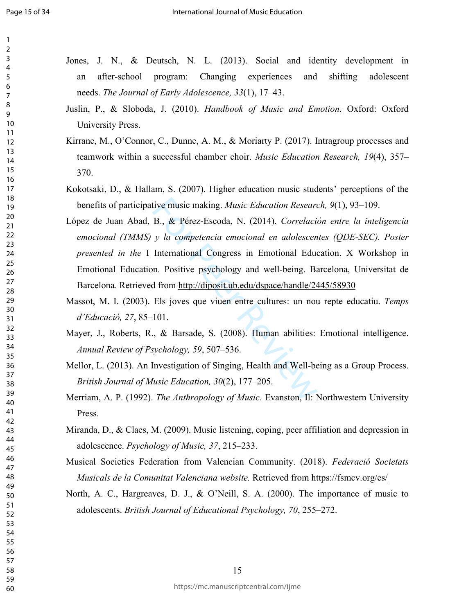- Jones, J. N., & Deutsch, N. L. (2013). Social and identity development in an after-school program: Changing experiences and shifting adolescent needs. *The Journal of Early Adolescence, 33*(1), 17–43.
- Juslin, P., & Sloboda, J. (2010). *Handbook of Music and Emotion*. Oxford: Oxford University Press.
- Kirrane, M., O'Connor, C., Dunne, A. M., & Moriarty P. (2017). Intragroup processes and teamwork within a successful chamber choir. *Music Education Research, 19*(4), 357– 370.
- Kokotsaki, D., & Hallam, S. (2007). Higher education music students' perceptions of the benefits of participative music making. *Music Education Research, 9*(1), 93–109.
- tive music making. *Music Education Researc*<br>B., & Pérez-Escoda, N. (2014). *Correlacic*<br>*y la competencia emocional en adolescen*<br>International Congress in Emotional Educ<br>n. Positive psychology and well-being. Bat<br>d from López de Juan Abad, B., & Pérez-Escoda, N. (2014). *Correlación entre la inteligencia emocional (TMMS) y la competencia emocional en adolescentes (QDE-SEC). Poster presented in the* I International Congress in Emotional Education. X Workshop in Emotional Education. Positive psychology and well-being. Barcelona, Universitat de Barcelona. Retrieved from http://diposit.ub.edu/dspace/handle/2445/58930
- Massot, M. I. (2003). Els joves que viuen entre cultures: un nou repte educatiu. *Temps d'Educació, 27*, 85–101.
- Mayer, J., Roberts, R., & Barsade, S. (2008). Human abilities: Emotional intelligence. *Annual Review of Psychology, 59*, 507–536.
- Mellor, L. (2013). An Investigation of Singing, Health and Well-being as a Group Process. *British Journal of Music Education, 30*(2), 177–205.
- Merriam, A. P. (1992). *The Anthropology of Music*. Evanston, Il: Northwestern University Press.
- Miranda, D., & Claes, M. (2009). Music listening, coping, peer affiliation and depression in adolescence. *Psychology of Music, 37*, 215–233.
- Musical Societies Federation from Valencian Community. (2018). *Federació Societats Musicals de la Comunitat Valenciana website.* Retrieved from https://fsmcv.org/es/
- North, A. C., Hargreaves, D. J., & O'Neill, S. A. (2000). The importance of music to adolescents. *British Journal of Educational Psychology, 70*, 255–272.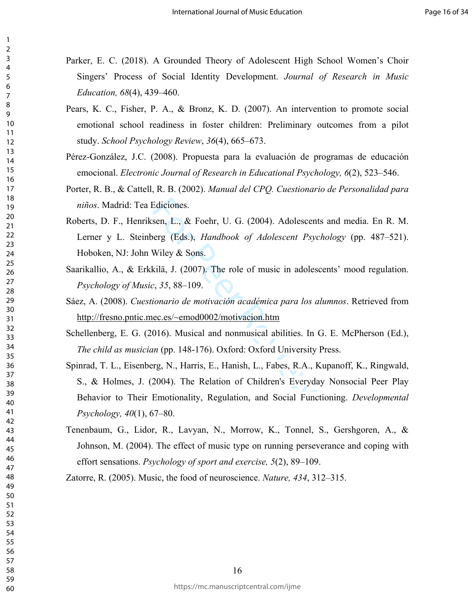- Parker, E. C. (2018). A Grounded Theory of Adolescent High School Women's Choir Singers' Process of Social Identity Development. *Journal of Research in Music Education, 68*(4), 439–460.
- Pears, K. C., Fisher, P. A., & Bronz, K. D. (2007). An intervention to promote social emotional school readiness in foster children: Preliminary outcomes from a pilot study. *School Psychology Review*, *36*(4), 665–673.
- Pérez-González, J.C. (2008). Propuesta para la evaluación de programas de educación emocional. *Electronic Journal of Research in Educational Psychology, 6*(2), 523–546.
- Porter, R. B., & Cattell, R. B. (2002). *Manual del CPQ. Cuestionario de Personalidad para niños*. Madrid: Tea Ediciones.
- Ediciones.<br>
sen, L., & Foehr, U. G. (2004). Adolescent<br>
verg (Eds.), *Handbook of Adolescent Psyc*<br>
Wiley & Sons.<br>
kilä, J. (2007). The role of music in adoles<br>
c, 35, 88–109.<br>
ionario de motivación académica para los a<br>
<u></u> Roberts, D. F., Henriksen, L., & Foehr, U. G. (2004). Adolescents and media. En R. M. Lerner y L. Steinberg (Eds.), *Handbook of Adolescent Psychology* (pp. 487–521). Hoboken, NJ: John Wiley & Sons.
- Saarikallio, A., & Erkkilä, J. (2007). The role of music in adolescents' mood regulation. *Psychology of Music*, *35*, 88–109.
- Sáez, A. (2008). *Cuestionario de motivación académica para los alumnos*. Retrieved from http://fresno.pntic.mec.es/~emod0002/motivacion.htm
- Schellenberg, E. G. (2016). Musical and nonmusical abilities. In G. E. McPherson (Ed.), *The child as musician* (pp. 148-176). Oxford: Oxford University Press.
- Spinrad, T. L., Eisenberg, N., Harris, E., Hanish, L., Fabes, R.A., Kupanoff, K., Ringwald, S., & Holmes, J. (2004). The Relation of Children's Everyday Nonsocial Peer Play Behavior to Their Emotionality, Regulation, and Social Functioning. *Developmental Psychology, 40*(1), 67–80.
- Tenenbaum, G., Lidor, R., Lavyan, N., Morrow, K., Tonnel, S., Gershgoren, A., & Johnson, M. (2004). The effect of music type on running perseverance and coping with effort sensations. *Psychology of sport and exercise, 5*(2), 89–109.

Zatorre, R. (2005). Music, the food of neuroscience. *Nature, 434*, 312–315.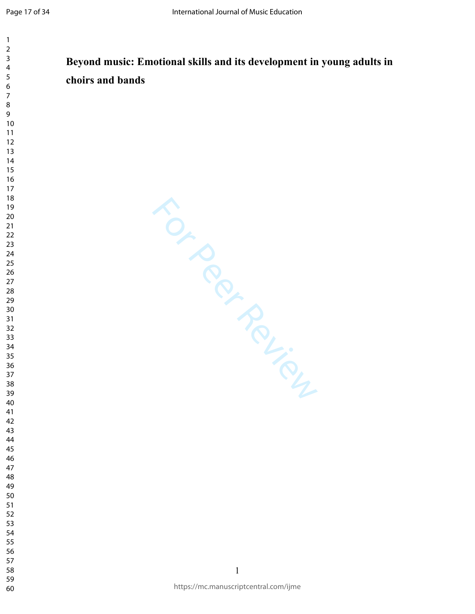| 1                   |                                                                       |
|---------------------|-----------------------------------------------------------------------|
| $\overline{2}$<br>3 |                                                                       |
| 4                   | Beyond music: Emotional skills and its development in young adults in |
| 5                   | choirs and bands                                                      |
| 6                   |                                                                       |
| 7<br>8              |                                                                       |
| 9                   |                                                                       |
| 10                  |                                                                       |
| 11                  |                                                                       |
| 12                  |                                                                       |
| 13<br>14            |                                                                       |
| 15                  |                                                                       |
| 16                  |                                                                       |
| 17                  |                                                                       |
| 18                  |                                                                       |
| 19<br>$20\,$        |                                                                       |
| $21$                |                                                                       |
| 22                  |                                                                       |
| 23                  |                                                                       |
| 24<br>25            | TON PROVIS                                                            |
| 26                  |                                                                       |
| 27                  |                                                                       |
| 28                  |                                                                       |
| 29<br>$30\,$        |                                                                       |
| 31                  |                                                                       |
| 32                  |                                                                       |
| 33                  |                                                                       |
| 34<br>35            |                                                                       |
| 36                  |                                                                       |
| 37                  |                                                                       |
| 38                  |                                                                       |
| 39<br>40            |                                                                       |
| 41                  |                                                                       |
| 42                  |                                                                       |
| 43                  |                                                                       |
| 44                  |                                                                       |
| 45<br>46            |                                                                       |
| 47                  |                                                                       |
| 48                  |                                                                       |
| 49                  |                                                                       |
| 50<br>51            |                                                                       |
| 52                  |                                                                       |
| 53                  |                                                                       |
| 54                  |                                                                       |
| 55                  |                                                                       |
| 56<br>57            |                                                                       |
| 58                  | $\mathbf{1}$                                                          |
| 59                  |                                                                       |
| 60                  | https://mc.manuscriptcentral.com/ijme                                 |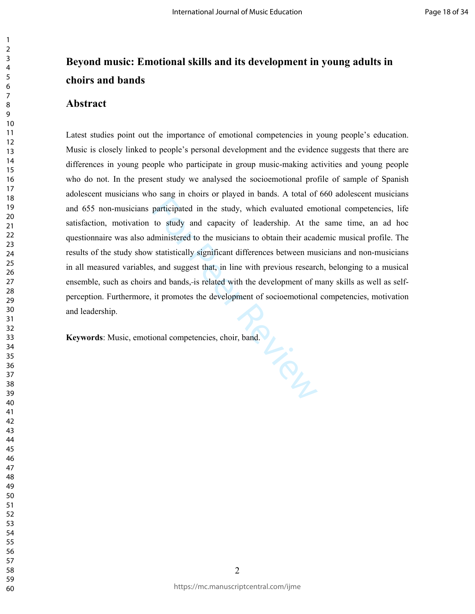# **Beyond music: Emotional skills and its development in young adults in choirs and bands**

## **Abstract**

participated in the study, which evaluated emeto study and capacity of leadership. At the dministered to the musicians to obtain their acade statistically significant differences between mu i, and suggest that, in line wit Latest studies point out the importance of emotional competencies in young people's education. Music is closely linked to people's personal development and the evidence suggests that there are differences in young people who participate in group music-making activities and young people who do not. In the present study we analysed the socioemotional profile of sample of Spanish adolescent musicians who sang in choirs or played in bands. A total of 660 adolescent musicians and 655 non-musicians participated in the study, which evaluated emotional competencies, life satisfaction, motivation to study and capacity of leadership. At the same time, an ad hoc questionnaire was also administered to the musicians to obtain their academic musical profile. The results of the study show statistically significant differences between musicians and non-musicians in all measured variables, and suggest that, in line with previous research, belonging to a musical ensemble, such as choirs and bands, is related with the development of many skills as well as selfperception. Furthermore, it promotes the development of socioemotional competencies, motivation and leadership.

**Keywords**: Music, emotional competencies, choir, band.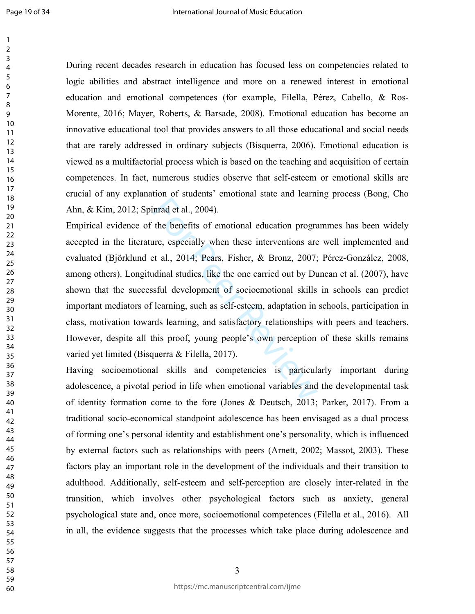During recent decades research in education has focused less on competencies related to logic abilities and abstract intelligence and more on a renewed interest in emotional education and emotional competences (for example, Filella, Pérez, Cabello, & Ros-Morente, 2016; Mayer, Roberts, & Barsade, 2008). Emotional education has become an innovative educational tool that provides answers to all those educational and social needs that are rarely addressed in ordinary subjects (Bisquerra, 2006). Emotional education is viewed as a multifactorial process which is based on the teaching and acquisition of certain competences. In fact, numerous studies observe that self-esteem or emotional skills are crucial of any explanation of students' emotional state and learning process (Bong, Cho Ahn, & Kim, 2012; Spinrad et al., 2004).

final et al., 2004).<br>
the benefits of emotional education programe, especially when these interventions are<br>
te al., 2014; Pears, Fisher, & Bronz, 2007;<br>
idinal studies, like the one carried out by Du<br>
stud development of Empirical evidence of the benefits of emotional education programmes has been widely accepted in the literature, especially when these interventions are well implemented and evaluated (Björklund et al., 2014; Pears, Fisher, & Bronz, 2007; Pérez-González, 2008, among others). Longitudinal studies, like the one carried out by Duncan et al. (2007), have shown that the successful development of socioemotional skills in schools can predict important mediators of learning, such as self-esteem, adaptation in schools, participation in class, motivation towards learning, and satisfactory relationships with peers and teachers. However, despite all this proof, young people's own perception of these skills remains varied yet limited (Bisquerra & Filella, 2017).

Having socioemotional skills and competencies is particularly important during adolescence, a pivotal period in life when emotional variables and the developmental task of identity formation come to the fore (Jones & Deutsch, 2013; Parker, 2017). From a traditional socio-economical standpoint adolescence has been envisaged as a dual process of forming one's personal identity and establishment one's personality, which is influenced by external factors such as relationships with peers (Arnett, 2002; Massot, 2003). These factors play an important role in the development of the individuals and their transition to adulthood. Additionally, self-esteem and self-perception are closely inter-related in the transition, which involves other psychological factors such as anxiety, general psychological state and, once more, socioemotional competences (Filella et al., 2016). All in all, the evidence suggests that the processes which take place during adolescence and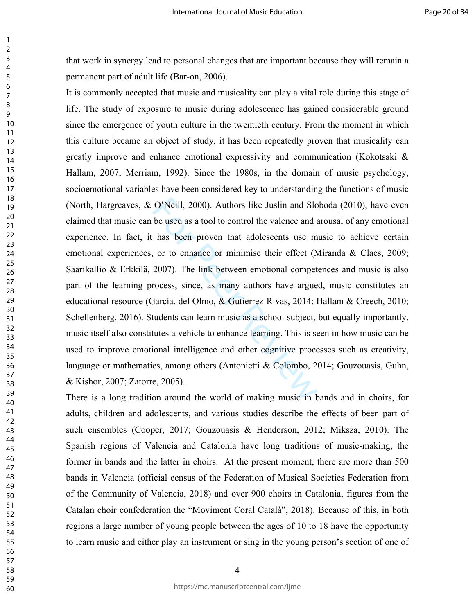that work in synergy lead to personal changes that are important because they will remain a permanent part of adult life (Bar-on, 2006).

O'Neill, 2000). Authors like Juslin and Slo<br>be used as a tool to control the valence and a<br>has been proven that adolescents use m<br>or to enhance or minimise their effect ( $\Lambda$ <br>2007). The link between emotional compet<br>roces It is commonly accepted that music and musicality can play a vital role during this stage of life. The study of exposure to music during adolescence has gained considerable ground since the emergence of youth culture in the twentieth century. From the moment in which this culture became an object of study, it has been repeatedly proven that musicality can greatly improve and enhance emotional expressivity and communication (Kokotsaki & Hallam, 2007; Merriam, 1992). Since the 1980s, in the domain of music psychology, socioemotional variables have been considered key to understanding the functions of music (North, Hargreaves, & O'Neill, 2000). Authors like Juslin and Sloboda (2010), have even claimed that music can be used as a tool to control the valence and arousal of any emotional experience. In fact, it has been proven that adolescents use music to achieve certain emotional experiences, or to enhance or minimise their effect (Miranda & Claes, 2009; Saarikallio & Erkkilä, 2007). The link between emotional competences and music is also part of the learning process, since, as many authors have argued, music constitutes an educational resource (García, del Olmo, & Gutiérrez-Rivas, 2014; Hallam & Creech, 2010; Schellenberg, 2016). Students can learn music as a school subject, but equally importantly, music itself also constitutes a vehicle to enhance learning. This is seen in how music can be used to improve emotional intelligence and other cognitive processes such as creativity, language or mathematics, among others (Antonietti & Colombo, 2014; Gouzouasis, Guhn, & Kishor, 2007; Zatorre, 2005).

There is a long tradition around the world of making music in bands and in choirs, for adults, children and adolescents, and various studies describe the effects of been part of such ensembles (Cooper, 2017; Gouzouasis & Henderson, 2012; Miksza, 2010). The Spanish regions of Valencia and Catalonia have long traditions of music-making, the former in bands and the latter in choirs. At the present moment, there are more than 500 bands in Valencia (official census of the Federation of Musical Societies Federation from of the Community of Valencia, 2018) and over 900 choirs in Catalonia, figures from the Catalan choir confederation the "Moviment Coral Català", 2018). Because of this, in both regions a large number of young people between the ages of 10 to 18 have the opportunity to learn music and either play an instrument or sing in the young person's section of one of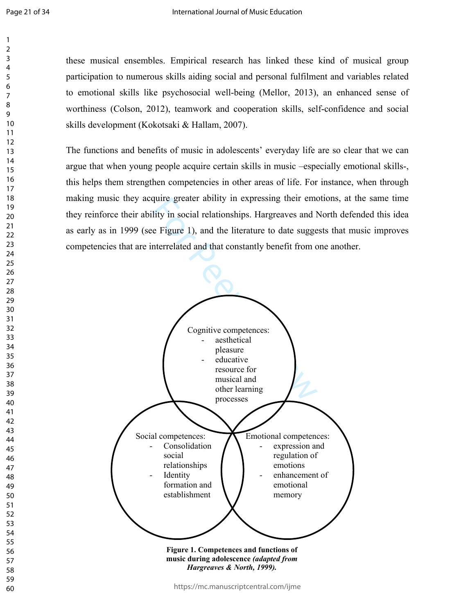these musical ensembles. Empirical research has linked these kind of musical group participation to numerous skills aiding social and personal fulfilment and variables related to emotional skills like psychosocial well-being (Mellor, 2013), an enhanced sense of worthiness (Colson, 2012), teamwork and cooperation skills, self-confidence and social skills development (Kokotsaki & Hallam, 2007).

The functions and benefits of music in adolescents' everyday life are so clear that we can argue that when young people acquire certain skills in music –especially emotional skills-, this helps them strengthen competencies in other areas of life. For instance, when through making music they acquire greater ability in expressing their emotions, at the same time they reinforce their ability in social relationships. Hargreaves and North defended this idea as early as in 1999 (see Figure 1), and the literature to date suggests that music improves competencies that are interrelated and that constantly benefit from one another.

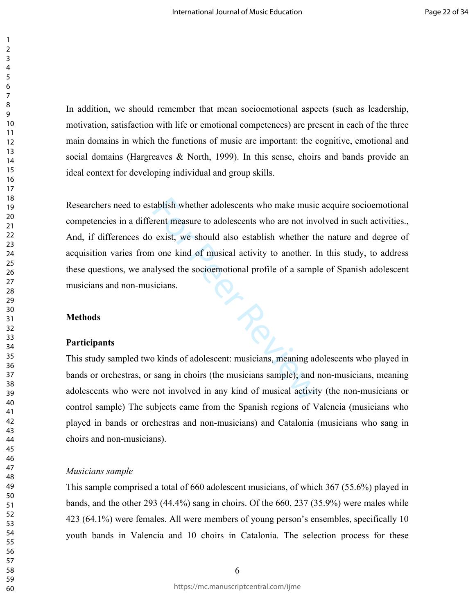In addition, we should remember that mean socioemotional aspects (such as leadership, motivation, satisfaction with life or emotional competences) are present in each of the three main domains in which the functions of music are important: the cognitive, emotional and social domains (Hargreaves & North, 1999). In this sense, choirs and bands provide an ideal context for developing individual and group skills.

**PRIDE** Researchers need to establish whether adolescents who make music acquire socioemotional competencies in a different measure to adolescents who are not involved in such activities., And, if differences do exist, we should also establish whether the nature and degree of acquisition varies from one kind of musical activity to another. In this study, to address these questions, we analysed the socioemotional profile of a sample of Spanish adolescent musicians and non-musicians.

### **Methods**

### **Participants**

This study sampled two kinds of adolescent: musicians, meaning adolescents who played in bands or orchestras, or sang in choirs (the musicians sample); and non-musicians, meaning adolescents who were not involved in any kind of musical activity (the non-musicians or control sample) The subjects came from the Spanish regions of Valencia (musicians who played in bands or orchestras and non-musicians) and Catalonia (musicians who sang in choirs and non-musicians).

#### *Musicians sample*

This sample comprised a total of 660 adolescent musicians, of which 367 (55.6%) played in bands, and the other 293 (44.4%) sang in choirs. Of the 660, 237 (35.9%) were males while 423 (64.1%) were females. All were members of young person's ensembles, specifically 10 youth bands in Valencia and 10 choirs in Catalonia. The selection process for these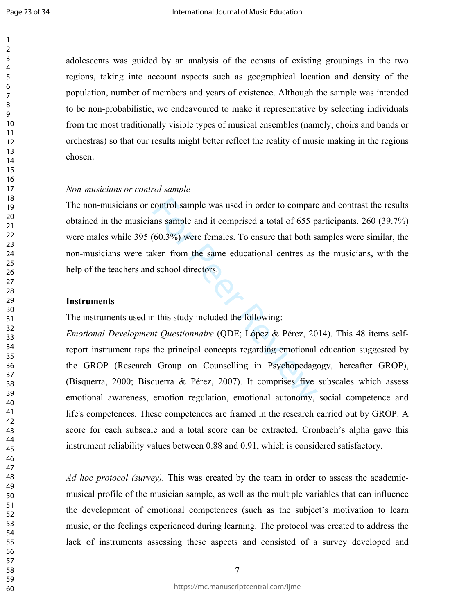adolescents was guided by an analysis of the census of existing groupings in the two regions, taking into account aspects such as geographical location and density of the population, number of members and years of existence. Although the sample was intended to be non-probabilistic, we endeavoured to make it representative by selecting individuals from the most traditionally visible types of musical ensembles (namely, choirs and bands or orchestras) so that our results might better reflect the reality of music making in the regions chosen.

## *Non-musicians or control sample*

The non-musicians or control sample was used in order to compare and contrast the results obtained in the musicians sample and it comprised a total of 655 participants. 260 (39.7%) were males while 395 (60.3%) were females. To ensure that both samples were similar, the non-musicians were taken from the same educational centres as the musicians, with the help of the teachers and school directors.

#### **Instruments**

The instruments used in this study included the following:

control sample was used in order to compare<br>times sample and it comprised a total of 655 p<br>(60.3%) were females. To ensure that both sa<br>ken from the same educational centres as<br>1 school directors.<br>1 school directors.<br>1 thi *Emotional Development Questionnaire* (QDE; López & Pérez, 2014). This 48 items selfreport instrument taps the principal concepts regarding emotional education suggested by the GROP (Research Group on Counselling in Psychopedagogy, hereafter GROP), (Bisquerra, 2000; Bisquerra & Pérez, 2007). It comprises five subscales which assess emotional awareness, emotion regulation, emotional autonomy, social competence and life's competences. These competences are framed in the research carried out by GROP. A score for each subscale and a total score can be extracted. Cronbach's alpha gave this instrument reliability values between 0.88 and 0.91, which is considered satisfactory.

*Ad hoc protocol (survey).* This was created by the team in order to assess the academicmusical profile of the musician sample, as well as the multiple variables that can influence the development of emotional competences (such as the subject's motivation to learn music, or the feelings experienced during learning. The protocol was created to address the lack of instruments assessing these aspects and consisted of a survey developed and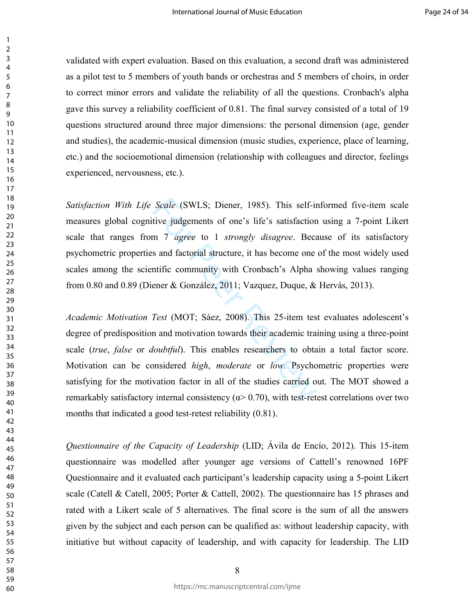validated with expert evaluation. Based on this evaluation, a second draft was administered as a pilot test to 5 members of youth bands or orchestras and 5 members of choirs, in order to correct minor errors and validate the reliability of all the questions. Cronbach's alpha gave this survey a reliability coefficient of 0.81. The final survey consisted of a total of 19 questions structured around three major dimensions: the personal dimension (age, gender and studies), the academic-musical dimension (music studies, experience, place of learning, etc.) and the socioemotional dimension (relationship with colleagues and director, feelings experienced, nervousness, etc.).

*Satisfaction With Life Scale* (SWLS; Diener, 1985). This self-informed five-item scale measures global cognitive judgements of one's life's satisfaction using a 7-point Likert scale that ranges from 7 *agree* to 1 *strongly disagree*. Because of its satisfactory psychometric properties and factorial structure, it has become one of the most widely used scales among the scientific community with Cronbach's Alpha showing values ranging from 0.80 and 0.89 (Diener & González, 2011; Vazquez, Duque, & Hervás, 2013).

Scale (SWLS; Diener, 1985). This self-in<br>tive judgements of one's life's satisfaction<br>m 7 agree to 1 strongly disagree. Beca<br>s and factorial structure, it has become one<br>ntific community with Cronbach's Alpha s<br>ener & Gon *Academic Motivation Test* (MOT; Sáez, 2008). This 25-item test evaluates adolescent's degree of predisposition and motivation towards their academic training using a three-point scale (*true*, *false* or *doubtful*). This enables researchers to obtain a total factor score. Motivation can be considered *high*, *moderate* or *low*. Psychometric properties were satisfying for the motivation factor in all of the studies carried out. The MOT showed a remarkably satisfactory internal consistency ( $α$  > 0.70), with test-retest correlations over two months that indicated a good test-retest reliability  $(0.81)$ .

*Questionnaire of the Capacity of Leadership* (LID; Ávila de Encío, 2012). This 15-item questionnaire was modelled after younger age versions of Cattell's renowned 16PF Questionnaire and it evaluated each participant's leadership capacity using a 5-point Likert scale (Catell & Catell, 2005; Porter & Cattell, 2002). The questionnaire has 15 phrases and rated with a Likert scale of 5 alternatives. The final score is the sum of all the answers given by the subject and each person can be qualified as: without leadership capacity, with initiative but without capacity of leadership, and with capacity for leadership. The LID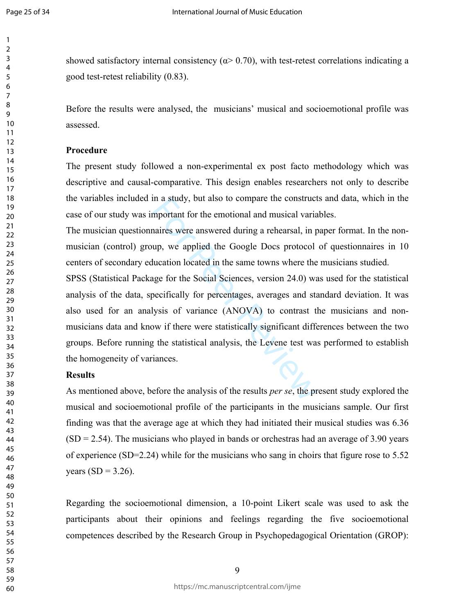showed satisfactory internal consistency ( $\alpha$   $> 0.70$ ), with test-retest correlations indicating a good test-retest reliability (0.83).

Before the results were analysed, the musicians' musical and socioemotional profile was assessed.

### **Procedure**

The present study followed a non-experimental ex post facto methodology which was descriptive and causal-comparative. This design enables researchers not only to describe the variables included in a study, but also to compare the constructs and data, which in the case of our study was important for the emotional and musical variables.

The musician questionnaires were answered during a rehearsal, in paper format. In the nonmusician (control) group, we applied the Google Docs protocol of questionnaires in 10 centers of secondary education located in the same towns where the musicians studied.

In a study, but also to compare the construct<br>mportant for the emotional and musical varia<br>naires were answered during a rehearsal, in p<br>up, we applied the Google Docs protocol<br>lucation located in the same towns where the<br> SPSS (Statistical Package for the Social Sciences, version 24.0) was used for the statistical analysis of the data, specifically for percentages, averages and standard deviation. It was also used for an analysis of variance (ANOVA) to contrast the musicians and nonmusicians data and know if there were statistically significant differences between the two groups. Before running the statistical analysis, the Levene test was performed to establish the homogeneity of variances.

### **Results**

As mentioned above, before the analysis of the results *per se*, the present study explored the musical and socioemotional profile of the participants in the musicians sample. Our first finding was that the average age at which they had initiated their musical studies was 6.36  $(SD = 2.54)$ . The musicians who played in bands or orchestras had an average of 3.90 years of experience (SD=2.24) while for the musicians who sang in choirs that figure rose to 5.52 years  $(SD = 3.26)$ .

Regarding the socioemotional dimension, a 10-point Likert scale was used to ask the participants about their opinions and feelings regarding the five socioemotional competences described by the Research Group in Psychopedagogical Orientation (GROP):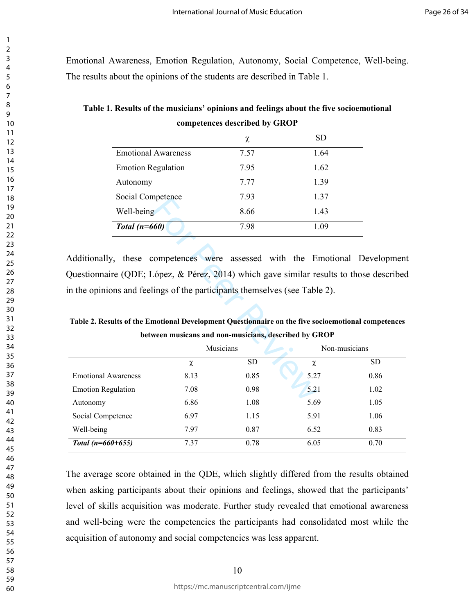Emotional Awareness, Emotion Regulation, Autonomy, Social Competence, Well-being. The results about the opinions of the students are described in Table 1.

|                            | χ    | SD   |
|----------------------------|------|------|
| <b>Emotional Awareness</b> | 7.57 | 1.64 |
| <b>Emotion Regulation</b>  | 7.95 | 1.62 |
| Autonomy                   | 7.77 | 1.39 |
| Social Competence          | 793  | 1.37 |
| Well-being                 | 8.66 | 1.43 |
| Total $(n=660)$            | 798  | 1.09 |

## **Table 1. Results of the musicians' opinions and feelings about the five socioemotional competences described by GROP**

**Table 2. Results of the Emotional Development Questionnaire on the five socioemotional competences between musicans and non-musicians, described by GROP**

| Well-being<br>8.66<br>1.43<br>1.09<br>7.98<br>Total $(n=660)$<br>Additionally, these competences were assessed with the Emotional Developmen<br>Questionnaire (QDE; López, & Pérez, 2014) which gave similar results to those described<br>In the opinions and feelings of the participants themselves (see Table 2).<br>Table 2. Results of the Emotional Development Questionnaire on the five socioemotional competences<br>between musicans and non-musicians, described by GROP<br>Musicians<br>Non-musicians<br><b>SD</b><br><b>SD</b><br>χ<br>χ<br><b>Emotional Awareness</b><br>0.86<br>8.13<br>0.85<br>5.27<br>7.08<br>5.21<br>1.02<br><b>Emotion Regulation</b><br>0.98<br>6.86<br>1.08<br>5.69<br>1.05<br>Autonomy<br>5.91<br>1.06<br>Social Competence<br>6.97<br>1.15<br>Well-being<br>6.52<br>0.83<br>7.97<br>0.87<br>7.37<br>0.78<br>6.05<br>0.70<br>Total ( $n=660+655$ ) | <b>SUCTAL COMPUTER</b> | ,,,, | 1.31 |  |
|-------------------------------------------------------------------------------------------------------------------------------------------------------------------------------------------------------------------------------------------------------------------------------------------------------------------------------------------------------------------------------------------------------------------------------------------------------------------------------------------------------------------------------------------------------------------------------------------------------------------------------------------------------------------------------------------------------------------------------------------------------------------------------------------------------------------------------------------------------------------------------------------|------------------------|------|------|--|
|                                                                                                                                                                                                                                                                                                                                                                                                                                                                                                                                                                                                                                                                                                                                                                                                                                                                                           |                        |      |      |  |
|                                                                                                                                                                                                                                                                                                                                                                                                                                                                                                                                                                                                                                                                                                                                                                                                                                                                                           |                        |      |      |  |
|                                                                                                                                                                                                                                                                                                                                                                                                                                                                                                                                                                                                                                                                                                                                                                                                                                                                                           |                        |      |      |  |
|                                                                                                                                                                                                                                                                                                                                                                                                                                                                                                                                                                                                                                                                                                                                                                                                                                                                                           |                        |      |      |  |
|                                                                                                                                                                                                                                                                                                                                                                                                                                                                                                                                                                                                                                                                                                                                                                                                                                                                                           |                        |      |      |  |
|                                                                                                                                                                                                                                                                                                                                                                                                                                                                                                                                                                                                                                                                                                                                                                                                                                                                                           |                        |      |      |  |
|                                                                                                                                                                                                                                                                                                                                                                                                                                                                                                                                                                                                                                                                                                                                                                                                                                                                                           |                        |      |      |  |
|                                                                                                                                                                                                                                                                                                                                                                                                                                                                                                                                                                                                                                                                                                                                                                                                                                                                                           |                        |      |      |  |
|                                                                                                                                                                                                                                                                                                                                                                                                                                                                                                                                                                                                                                                                                                                                                                                                                                                                                           |                        |      |      |  |
|                                                                                                                                                                                                                                                                                                                                                                                                                                                                                                                                                                                                                                                                                                                                                                                                                                                                                           |                        |      |      |  |
|                                                                                                                                                                                                                                                                                                                                                                                                                                                                                                                                                                                                                                                                                                                                                                                                                                                                                           |                        |      |      |  |
|                                                                                                                                                                                                                                                                                                                                                                                                                                                                                                                                                                                                                                                                                                                                                                                                                                                                                           |                        |      |      |  |

The average score obtained in the QDE, which slightly differed from the results obtained when asking participants about their opinions and feelings, showed that the participants' level of skills acquisition was moderate. Further study revealed that emotional awareness and well-being were the competencies the participants had consolidated most while the acquisition of autonomy and social competencies was less apparent.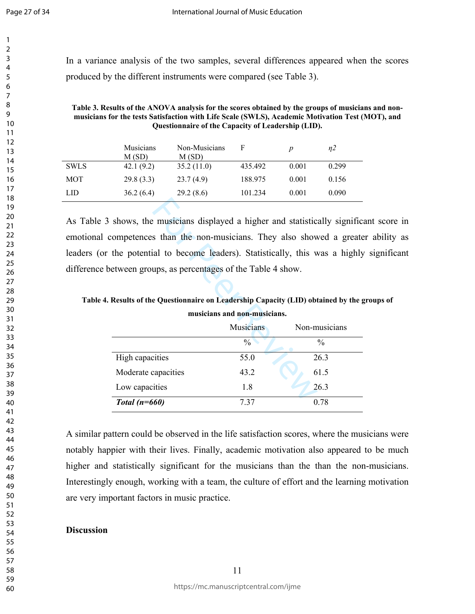$\mathbf{1}$ 

In a variance analysis of the two samples, several differences appeared when the scores produced by the different instruments were compared (see Table 3).

| Table 3. Results of the ANOVA analysis for the scores obtained by the groups of musicians and non- |
|----------------------------------------------------------------------------------------------------|
| musicians for the tests Satisfaction with Life Scale (SWLS), Academic Motivation Test (MOT), and   |
| <b>Ouestionnaire of the Capacity of Leadership (LID).</b>                                          |

|             | <b>Musicians</b><br>M(SD) | Non-Musicians<br>M(SD) | F       |       | n2    |
|-------------|---------------------------|------------------------|---------|-------|-------|
| <b>SWLS</b> | 42.1(9.2)                 | 35.2(11.0)             | 435.492 | 0.001 | 0.299 |
| <b>MOT</b>  | 29.8(3.3)                 | 23.7(4.9)              | 188.975 | 0.001 | 0.156 |
| LID         | 36.2(6.4)                 | 29.2(8.6)              | 101.234 | 0.001 | 0.090 |

As Table 3 shows, the musicians displayed a higher and statistically significant score in emotional competences than the non-musicians. They also showed a greater ability as leaders (or the potential to become leaders). Statistically, this was a highly significant difference between groups, as percentages of the Table 4 show.

**Table 4. Results of the Questionnaire on Leadership Capacity (LID) obtained by the groups of musicians and non-musicians.**

|                                                    | ompetences than the non-musicians. They also showed a greate                |
|----------------------------------------------------|-----------------------------------------------------------------------------|
|                                                    | the potential to become leaders). Statistically, this was a highly          |
| etween groups, as percentages of the Table 4 show. |                                                                             |
|                                                    |                                                                             |
|                                                    | Results of the Questionnaire on Leadership Capacity (LID) obtained by the g |
| musicians and non-musicians.                       |                                                                             |
| <b>Musicians</b>                                   | Non-musicians                                                               |
| $\frac{0}{0}$                                      | $\frac{0}{0}$                                                               |
| 55.0                                               | 26.3                                                                        |
|                                                    |                                                                             |
| 43.2                                               | 61.5                                                                        |
| 1.8                                                | 26.3                                                                        |
|                                                    | shows, the musicians displayed a higher and statistically significant       |

A similar pattern could be observed in the life satisfaction scores, where the musicians were notably happier with their lives. Finally, academic motivation also appeared to be much higher and statistically significant for the musicians than the than the non-musicians. Interestingly enough, working with a team, the culture of effort and the learning motivation are very important factors in music practice.

## **Discussion**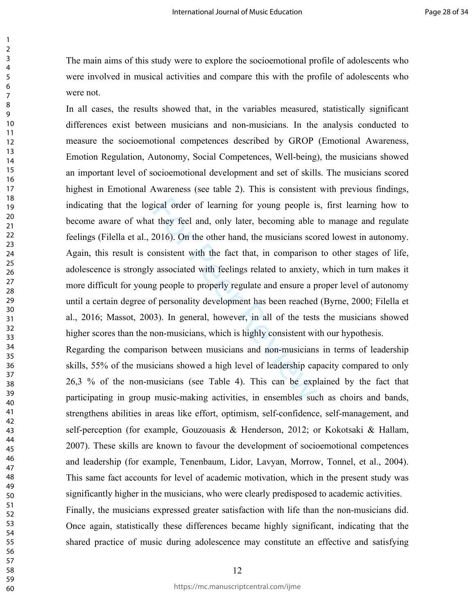The main aims of this study were to explore the socioemotional profile of adolescents who were involved in musical activities and compare this with the profile of adolescents who were not.

ical order of learning for young people is<br>t they feel and, only later, becoming able<br>2016). On the other hand, the musicians sco<br>onsistent with the fact that, in comparison<br>v associated with feelings related to anxiety,<br>g In all cases, the results showed that, in the variables measured, statistically significant differences exist between musicians and non-musicians. In the analysis conducted to measure the socioemotional competences described by GROP (Emotional Awareness, Emotion Regulation, Autonomy, Social Competences, Well-being), the musicians showed an important level of socioemotional development and set of skills. The musicians scored highest in Emotional Awareness (see table 2). This is consistent with previous findings, indicating that the logical order of learning for young people is, first learning how to become aware of what they feel and, only later, becoming able to manage and regulate feelings (Filella et al., 2016). On the other hand, the musicians scored lowest in autonomy. Again, this result is consistent with the fact that, in comparison to other stages of life, adolescence is strongly associated with feelings related to anxiety, which in turn makes it more difficult for young people to properly regulate and ensure a proper level of autonomy until a certain degree of personality development has been reached (Byrne, 2000; Filella et al., 2016; Massot, 2003). In general, however, in all of the tests the musicians showed higher scores than the non-musicians, which is highly consistent with our hypothesis.

Regarding the comparison between musicians and non-musicians in terms of leadership skills, 55% of the musicians showed a high level of leadership capacity compared to only 26,3 % of the non-musicians (see Table 4). This can be explained by the fact that participating in group music-making activities, in ensembles such as choirs and bands, strengthens abilities in areas like effort, optimism, self-confidence, self-management, and self-perception (for example, Gouzouasis & Henderson, 2012; or Kokotsaki & Hallam, 2007). These skills are known to favour the development of socioemotional competences and leadership (for example, Tenenbaum, Lidor, Lavyan, Morrow, Tonnel, et al., 2004). This same fact accounts for level of academic motivation, which in the present study was significantly higher in the musicians, who were clearly predisposed to academic activities. Finally, the musicians expressed greater satisfaction with life than the non-musicians did. Once again, statistically these differences became highly significant, indicating that the shared practice of music during adolescence may constitute an effective and satisfying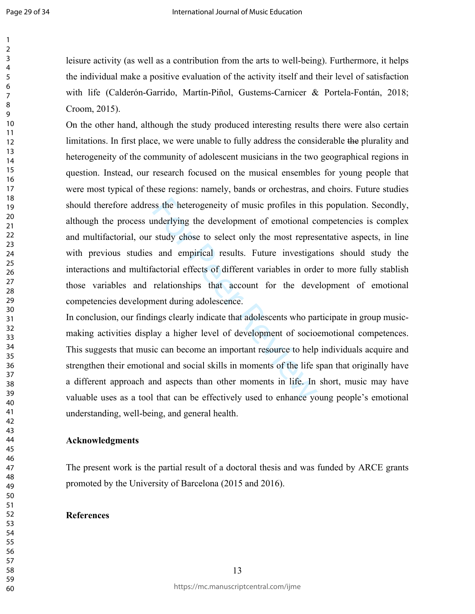leisure activity (as well as a contribution from the arts to well-being). Furthermore, it helps the individual make a positive evaluation of the activity itself and their level of satisfaction with life (Calderón-Garrido, Martín-Piñol, Gustems-Carnicer & Portela-Fontán, 2018; Croom, 2015).

ss the heterogeneity of music profiles in thinderlying the development of emotional costudy chose to select only the most repress and empirical results. Future investigat actorial effects of different variables in orde rel On the other hand, although the study produced interesting results there were also certain limitations. In first place, we were unable to fully address the considerable the plurality and heterogeneity of the community of adolescent musicians in the two geographical regions in question. Instead, our research focused on the musical ensembles for young people that were most typical of these regions: namely, bands or orchestras, and choirs. Future studies should therefore address the heterogeneity of music profiles in this population. Secondly, although the process underlying the development of emotional competencies is complex and multifactorial, our study chose to select only the most representative aspects, in line with previous studies and empirical results. Future investigations should study the interactions and multifactorial effects of different variables in order to more fully stablish those variables and relationships that account for the development of emotional competencies development during adolescence.

In conclusion, our findings clearly indicate that adolescents who participate in group musicmaking activities display a higher level of development of socioemotional competences. This suggests that music can become an important resource to help individuals acquire and strengthen their emotional and social skills in moments of the life span that originally have a different approach and aspects than other moments in life. In short, music may have valuable uses as a tool that can be effectively used to enhance young people's emotional understanding, well-being, and general health.

## **Acknowledgments**

The present work is the partial result of a doctoral thesis and was funded by ARCE grants promoted by the University of Barcelona (2015 and 2016).

## **References**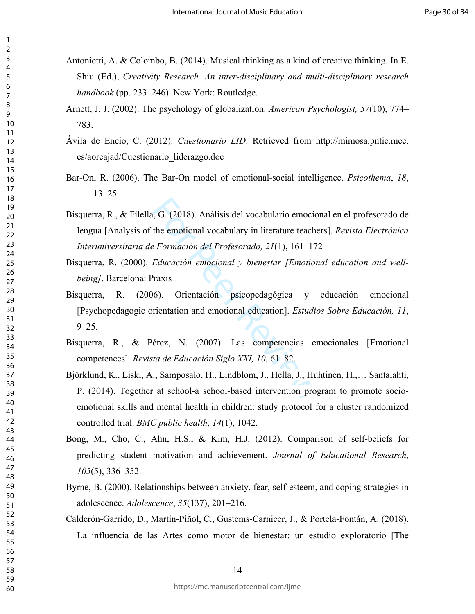Antonietti, A. & Colombo, B. (2014). Musical thinking as a kind of creative thinking. In E. Shiu (Ed.), *Creativity Research. An inter-disciplinary and multi-disciplinary research handbook* (pp. 233–246). New York: Routledge.

- Arnett, J. J. (2002). The psychology of globalization. *American Psychologist, 57*(10), 774– 783.
- Ávila de Encío, C. (2012). *Cuestionario LID*. Retrieved from http://mimosa.pntic.mec. es/aorcajad/Cuestionario\_liderazgo.doc
- Bar-On, R. (2006). The Bar-On model of emotional-social intelligence. *Psicothema*, *18*, 13–25.
- 1, G. (2018). Análisis del vocabulario emocio<br>the emotional vocabulary in literature teacher<br>*E* Formación del Profesorado, 21(1), 161–17<br>Educación emocional y bienestar [Emotior<br>Traxis<br>6). Orientación psicopedagógica y<br>ri Bisquerra, R., & Filella, G. (2018). Análisis del vocabulario emocional en el profesorado de lengua [Analysis of the emotional vocabulary in literature teachers]. *Revista Electrónica Interuniversitaria de Formación del Profesorado, 21*(1), 161–172
- Bisquerra, R. (2000). *Educación emocional y bienestar [Emotional education and wellbeing]*. Barcelona: Praxis
- Bisquerra, R. (2006). Orientación psicopedagógica y educación emocional [Psychopedagogic orientation and emotional education]. *Estudios Sobre Educación, 11*,  $9 - 25$ .
- Bisquerra, R., & Pérez, N. (2007). Las competencias emocionales [Emotional competences]. *Revista de Educación Siglo XXI, 10*, 61–82.
- Björklund, K., Liski, A., Samposalo, H., Lindblom, J., Hella, J., Huhtinen, H.,… Santalahti, P. (2014). Together at school-a school-based intervention program to promote socioemotional skills and mental health in children: study protocol for a cluster randomized controlled trial. *BMC public health*, *14*(1), 1042.
- Bong, M., Cho, C., Ahn, H.S., & Kim, H.J. (2012). Comparison of self-beliefs for predicting student motivation and achievement. *Journal of Educational Research*, (5), 336–352.
- Byrne, B. (2000). Relationships between anxiety, fear, self-esteem, and coping strategies in adolescence. *Adolescence*, *35*(137), 201–216.
- Calderón-Garrido, D., Martín-Piñol, C., Gustems-Carnicer, J., & Portela-Fontán, A. (2018). La influencia de las Artes como motor de bienestar: un estudio exploratorio [The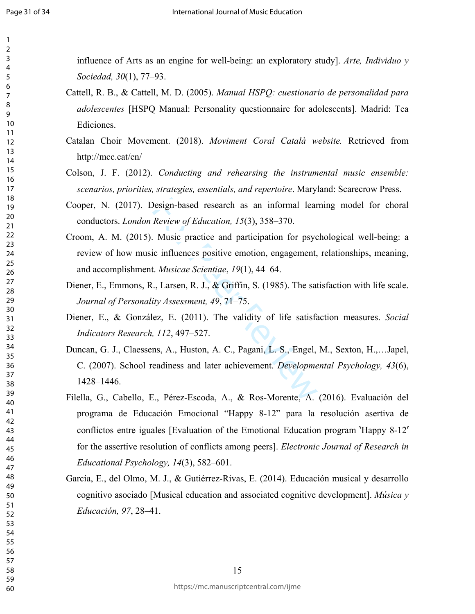influence of Arts as an engine for well-being: an exploratory study]. *Arte, Individuo y Sociedad, 30*(1), 77–93.

- Cattell, R. B., & Cattell, M. D. (2005). *Manual HSPQ: cuestionario de personalidad para adolescentes* [HSPQ Manual: Personality questionnaire for adolescents]. Madrid: Tea Ediciones.
- Catalan Choir Movement. (2018). *Moviment Coral Català website.* Retrieved from http://mcc.cat/en/
- Colson, J. F. (2012). *Conducting and rehearsing the instrumental music ensemble: scenarios, priorities, strategies, essentials, and repertoire*. Maryland: Scarecrow Press.
- Cooper, N. (2017). Design-based research as an informal learning model for choral conductors. *London Review of Education, 15*(3), 358–370.
- Design-based research as an informal lear<br> *Review of Education, 15*(3), 358–370.<br>
Music practice and participation for psycic influences positive emotion, engagement,<br> *t. Musicae Scientiae, 19*(1), 44–64.<br>
.., Larsen, R Croom, A. M. (2015). Music practice and participation for psychological well-being: a review of how music influences positive emotion, engagement, relationships, meaning, and accomplishment. *Musicae Scientiae*, *19*(1), 44–64.
- Diener, E., Emmons, R., Larsen, R. J., & Griffin, S. (1985). The satisfaction with life scale. *Journal of Personality Assessment, 49*, 71–75.
- Diener, E., & González, E. (2011). The validity of life satisfaction measures. *Social Indicators Research, 112*, 497–527.
- Duncan, G. J., Claessens, A., Huston, A. C., Pagani, L. S., Engel, M., Sexton, H.,…Japel, C. (2007). School readiness and later achievement. *Developmental Psychology, 43*(6), 1428–1446.
- Filella, G., Cabello, E., Pérez-Escoda, A., & Ros-Morente, A. (2016). Evaluación del programa de Educación Emocional "Happy 8-12" para la resolución asertiva de conflictos entre iguales [Evaluation of the Emotional Education program 'Happy 8-12 ' for the assertive resolution of conflicts among peers]. *Electronic Journal of Research in Educational Psychology, 14*(3), 582–601.
- García, E., del Olmo, M. J., & Gutiérrez-Rivas, E. (2014). Educación musical y desarrollo cognitivo asociado [Musical education and associated cognitive development]. *Música y Educación, 97*, 28–41.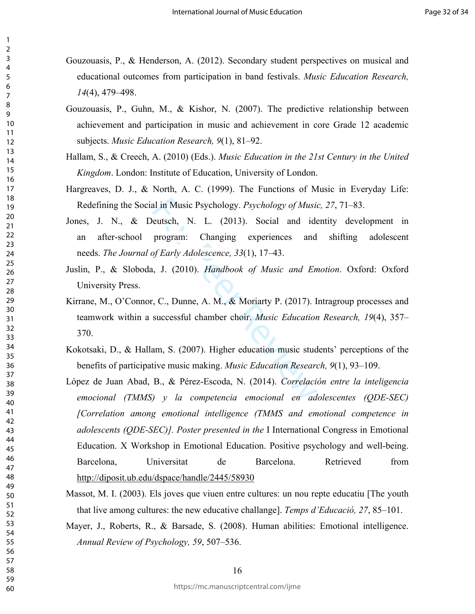Gouzouasis, P., & Henderson, A. (2012). Secondary student perspectives on musical and educational outcomes from participation in band festivals. *Music Education Research,* (4), 479–498.

- Gouzouasis, P., Guhn, M., & Kishor, N. (2007). The predictive relationship between achievement and participation in music and achievement in core Grade 12 academic subjects. *Music Education Research, 9*(1), 81–92.
- Hallam, S., & Creech, A. (2010) (Eds.). *Music Education in the 21st Century in the United Kingdom*. London: Institute of Education, University of London.
- Hargreaves, D. J., & North, A. C. (1999). The Functions of Music in Everyday Life: Redefining the Social in Music Psychology. *Psychology of Music, 27*, 71–83.
- Jones, J. N., & Deutsch, N. L. (2013). Social and identity development in an after-school program: Changing experiences and shifting adolescent needs. *The Journal of Early Adolescence, 33*(1), 17–43.
- Juslin, P., & Sloboda, J. (2010). *Handbook of Music and Emotion*. Oxford: Oxford University Press.
- al in Music Psychology. *Psychology of Music*<br>eutsch, N. L. (2013). Social and ide<br>program: Changing experiences and<br>of *Early Adolescence*, 33(1), 17–43.<br>i, J. (2010). *Handbook of Music and En*<br>c., C., Dunne, A. M., & Mo Kirrane, M., O'Connor, C., Dunne, A. M., & Moriarty P. (2017). Intragroup processes and teamwork within a successful chamber choir. *Music Education Research, 19*(4), 357– 370.
- Kokotsaki, D., & Hallam, S. (2007). Higher education music students' perceptions of the benefits of participative music making. *Music Education Research, 9*(1), 93–109.
- López de Juan Abad, B., & Pérez-Escoda, N. (2014). *Correlación entre la inteligencia emocional (TMMS) y la competencia emocional en adolescentes (QDE-SEC) [Correlation among emotional intelligence (TMMS and emotional competence in adolescents (QDE-SEC)]. Poster presented in the* I International Congress in Emotional Education. X Workshop in Emotional Education. Positive psychology and well-being. Barcelona, Universitat de Barcelona. Retrieved from http://diposit.ub.edu/dspace/handle/2445/58930
- Massot, M. I. (2003). Els joves que viuen entre cultures: un nou repte educatiu [The youth that live among cultures: the new educative challange]. *Temps d'Educació, 27*, 85–101.
- Mayer, J., Roberts, R., & Barsade, S. (2008). Human abilities: Emotional intelligence. *Annual Review of Psychology, 59*, 507–536.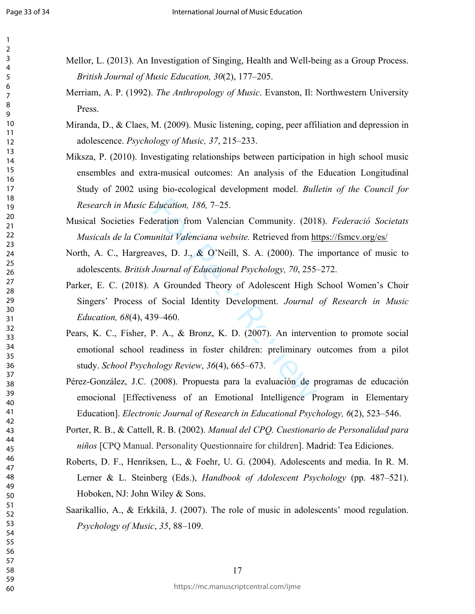- Mellor, L. (2013). An Investigation of Singing, Health and Well-being as a Group Process. *British Journal of Music Education, 30*(2), 177–205.
	- Merriam, A. P. (1992). *The Anthropology of Music*. Evanston, Il: Northwestern University Press.
	- Miranda, D., & Claes, M. (2009). Music listening, coping, peer affiliation and depression in adolescence. *Psychology of Music, 37*, 215–233.
	- Miksza, P. (2010). Investigating relationships between participation in high school music ensembles and extra-musical outcomes: An analysis of the Education Longitudinal Study of 2002 using bio-ecological development model. *Bulletin of the Council for Research in Music Education, 186,* 7–25.
	- Musical Societies Federation from Valencian Community. (2018). *Federació Societats Musicals de la Comunitat Valenciana website.* Retrieved from https://fsmcv.org/es/
	- North, A. C., Hargreaves, D. J., & O'Neill, S. A. (2000). The importance of music to adolescents. *British Journal of Educational Psychology, 70*, 255–272.
	- Education, 186, 7–25.<br>
	leration from Valencian Community. (201<sup>1</sup><br>
	unitat Valenciana website. Retrieved from ht<br>
	ves, D. J., & O'Neill, S. A. (2000). The<br>
	Journal of Educational Psychology, 70, 255-<br>
	A Grounded Theory of A Parker, E. C. (2018). A Grounded Theory of Adolescent High School Women's Choir Singers' Process of Social Identity Development. *Journal of Research in Music Education, 68*(4), 439–460.
	- Pears, K. C., Fisher, P. A., & Bronz, K. D. (2007). An intervention to promote social emotional school readiness in foster children: preliminary outcomes from a pilot study. *School Psychology Review*, *36*(4), 665–673.
	- Pérez-González, J.C. (2008). Propuesta para la evaluación de programas de educación emocional [Effectiveness of an Emotional Intelligence Program in Elementary Education]. *Electronic Journal of Research in Educational Psychology, 6*(2), 523–546.
	- Porter, R. B., & Cattell, R. B. (2002). *Manual del CPQ. Cuestionario de Personalidad para niños* [CPQ Manual. Personality Questionnaire for children]. Madrid: Tea Ediciones.
	- Roberts, D. F., Henriksen, L., & Foehr, U. G. (2004). Adolescents and media. In R. M. Lerner & L. Steinberg (Eds.), *Handbook of Adolescent Psychology* (pp. 487–521). Hoboken, NJ: John Wiley & Sons.
	- Saarikallio, A., & Erkkilä, J. (2007). The role of music in adolescents' mood regulation. *Psychology of Music*, *35*, 88–109.